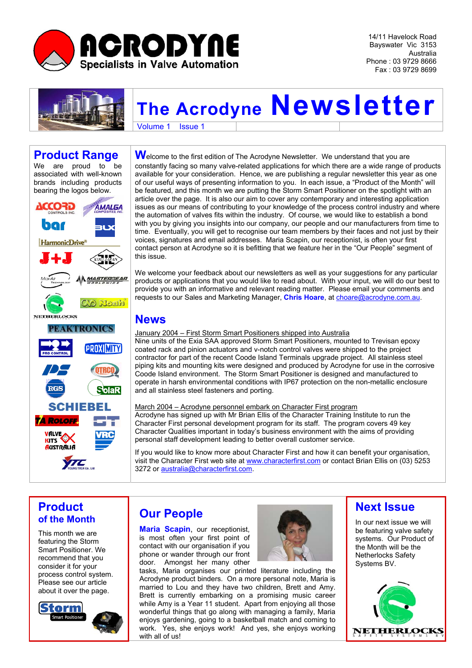

14/11 Havelock Road Bayswater Vic 3153 Australia Phone : 03 9729 8666 Fax : 03 9729 8699



# **The Acrodyne Newsletter**

Volume 1 **Issue 1** 

## **Product Range**

We are proud to be associated with well-known brands including products bearing the logos below.



Welcome to the first edition of The Acrodyne Newsletter. We understand that you are constantly facing so many valve-related applications for which there are a wide range of products available for your consideration. Hence, we are publishing a regular newsletter this year as one of our useful ways of presenting information to you. In each issue, a "Product of the Month" will be featured, and this month we are putting the Storm Smart Positioner on the spotlight with an article over the page. It is also our aim to cover any contemporary and interesting application issues as our means of contributing to your knowledge of the process control industry and where the automation of valves fits within the industry. Of course, we would like to establish a bond with you by giving you insights into our company, our people and our manufacturers from time to time. Eventually, you will get to recognise our team members by their faces and not just by their voices, signatures and email addresses. Maria Scapin, our receptionist, is often your first contact person at Acrodyne so it is befitting that we feature her in the "Our People" segment of this issue.

We welcome your feedback about our newsletters as well as your suggestions for any particular products or applications that you would like to read about. With your input, we will do our best to provide you with an informative and relevant reading matter. Please email your comments and requests to our Sales and Marketing Manager, **Chris Hoare**, at [choare@acrodyne.com.au](mailto:choare@acrodyne.com.au).

#### **News**

January 2004 – First Storm Smart Positioners shipped into Australia

Nine units of the Exia SAA approved Storm Smart Positioners, mounted to Trevisan epoxy coated rack and pinion actuators and v-notch control valves were shipped to the project contractor for part of the recent Coode Island Terminals upgrade project. All stainless steel piping kits and mounting kits were designed and produced by Acrodyne for use in the corrosive Coode Island environment. The Storm Smart Positioner is designed and manufactured to operate in harsh environmental conditions with IP67 protection on the non-metallic enclosure and all stainless steel fasteners and porting.

March 2004 – Acrodyne personnel embark on Character First program Acrodyne has signed up with Mr Brian Ellis of the Character Training Institute to run the Character First personal development program for its staff. The program covers 49 key Character Qualities important in today's business environment with the aims of providing personal staff development leading to better overall customer service.

If you would like to know more about Character First and how it can benefit your organisation, visit the Character First web site at [www.characterfirst.com](http://www.caharacterfirst.com/) or contact Brian Ellis on (03) 5253 3272 or [australia@characterfirst.com.](mailto:australia@characterfirst.com)

### **Product of the Month**

This month we are featuring the Storm Smart Positioner. We recommend that you consider it for your process control system. Please see our article about it over the page.



## **Our People**

**Maria Scapin**, our receptionist, is most often your first point of contact with our organisation if you phone or wander through our front door. Amongst her many other



### **Next Issue**

In our next issue we will be featuring valve safety systems. Our Product of the Month will be the Netherlocks Safety Systems BV.